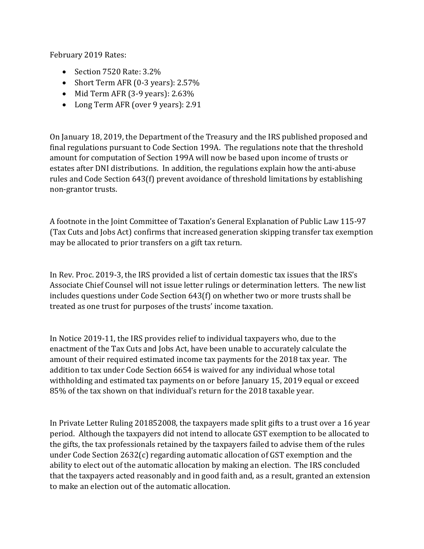February 2019 Rates:

- Section 7520 Rate: 3.2%
- Short Term AFR (0-3 years): 2.57%
- Mid Term AFR (3-9 years): 2.63%
- Long Term AFR (over 9 years): 2.91

On January 18, 2019, the Department of the Treasury and the IRS published proposed and final regulations pursuant to Code Section 199A. The regulations note that the threshold amount for computation of Section 199A will now be based upon income of trusts or estates after DNI distributions. In addition, the regulations explain how the anti-abuse rules and Code Section 643(f) prevent avoidance of threshold limitations by establishing non-grantor trusts.

A footnote in the Joint Committee of Taxation's General Explanation of Public Law 115-97 (Tax Cuts and Jobs Act) confirms that increased generation skipping transfer tax exemption may be allocated to prior transfers on a gift tax return.

In Rev. Proc. 2019-3, the IRS provided a list of certain domestic tax issues that the IRS's Associate Chief Counsel will not issue letter rulings or determination letters. The new list includes questions under Code Section 643(f) on whether two or more trusts shall be treated as one trust for purposes of the trusts' income taxation.

In Notice 2019-11, the IRS provides relief to individual taxpayers who, due to the enactment of the Tax Cuts and Jobs Act, have been unable to accurately calculate the amount of their required estimated income tax payments for the 2018 tax year. The addition to tax under Code Section 6654 is waived for any individual whose total withholding and estimated tax payments on or before January 15, 2019 equal or exceed 85% of the tax shown on that individual's return for the 2018 taxable year.

In Private Letter Ruling 201852008, the taxpayers made split gifts to a trust over a 16 year period. Although the taxpayers did not intend to allocate GST exemption to be allocated to the gifts, the tax professionals retained by the taxpayers failed to advise them of the rules under Code Section 2632(c) regarding automatic allocation of GST exemption and the ability to elect out of the automatic allocation by making an election. The IRS concluded that the taxpayers acted reasonably and in good faith and, as a result, granted an extension to make an election out of the automatic allocation.